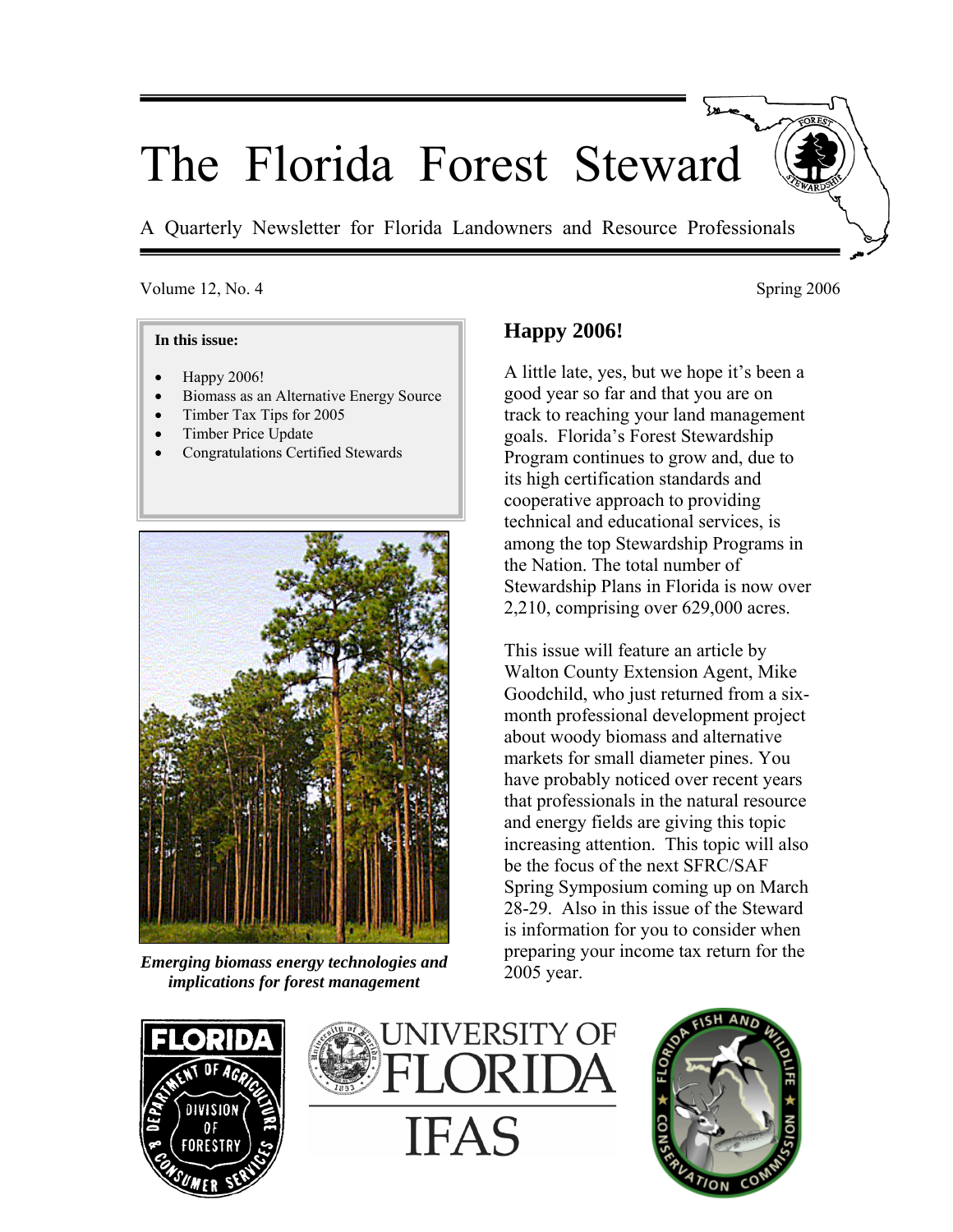# The Florida Forest Steward

A Quarterly Newsletter for Florida Landowners and Resource Professionals

#### Volume 12, No. 4 Spring 2006

#### **In this issue:**

- Happy 2006!
- Biomass as an Alternative Energy Source
- Timber Tax Tips for 2005
- Timber Price Update
- Congratulations Certified Stewards



*Emerging biomass energy technologies and implications for forest management* 

# **Happy 2006!**

A little late, yes, but we hope it's been a good year so far and that you are on track to reaching your land management goals. Florida's Forest Stewardship Program continues to grow and, due to its high certification standards and cooperative approach to providing technical and educational services, is among the top Stewardship Programs in the Nation. The total number of Stewardship Plans in Florida is now over 2,210, comprising over 629,000 acres.

This issue will feature an article by Walton County Extension Agent, Mike Goodchild, who just returned from a sixmonth professional development project about woody biomass and alternative markets for small diameter pines. You have probably noticed over recent years that professionals in the natural resource and energy fields are giving this topic increasing attention. This topic will also be the focus of the next SFRC/SAF Spring Symposium coming up on March 28-29. Also in this issue of the Steward is information for you to consider when preparing your income tax return for the 2005 year.





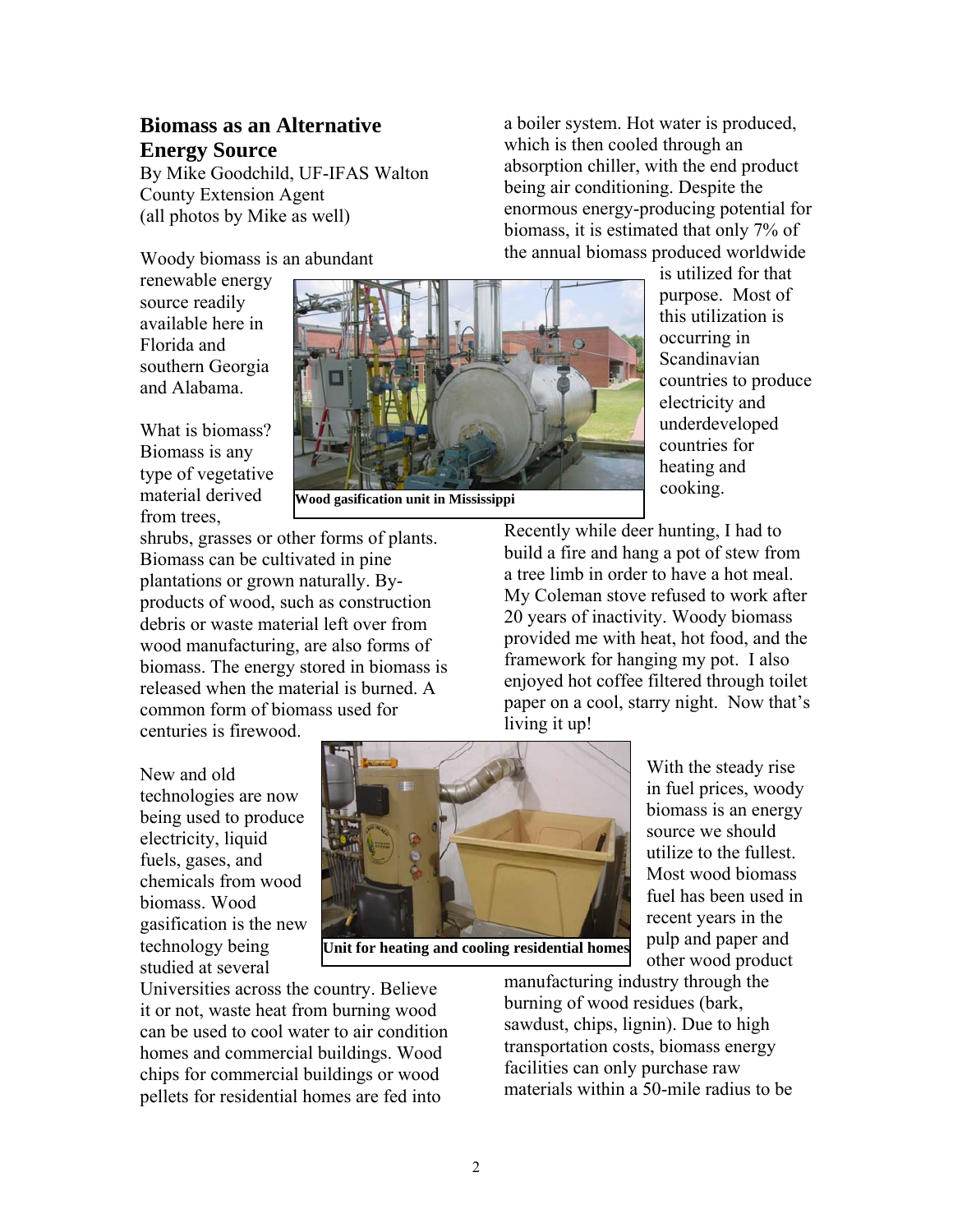## **Biomass as an Alternative Energy Source**

By Mike Goodchild, UF-IFAS Walton County Extension Agent (all photos by Mike as well)

Woody biomass is an abundant

renewable energy source readily available here in Florida and southern Georgia and Alabama.

What is biomass? Biomass is any type of vegetative material derived from trees,

**Wood gasification unit in Mississippi** 

shrubs, grasses or other forms of plants. Biomass can be cultivated in pine plantations or grown naturally. Byproducts of wood, such as construction debris or waste material left over from wood manufacturing, are also forms of biomass. The energy stored in biomass is released when the material is burned. A common form of biomass used for

the annual biomass produced worldwide is utilized for that purpose. Most of this utilization is occurring in Scandinavian countries to produce electricity and underdeveloped countries for heating and cooking.

Recently while deer hunting, I had to build a fire and hang a pot of stew from a tree limb in order to have a hot meal. My Coleman stove refused to work after 20 years of inactivity. Woody biomass provided me with heat, hot food, and the framework for hanging my pot. I also enjoyed hot coffee filtered through toilet paper on a cool, starry night. Now that's living it up!

a boiler system. Hot water is produced,

absorption chiller, with the end product being air conditioning. Despite the

enormous energy-producing potential for biomass, it is estimated that only 7% of

which is then cooled through an

New and old technologies are now being used to produce electricity, liquid fuels, gases, and chemicals from wood biomass. Wood gasification is the new technology being studied at several

centuries is firewood.



**Unit for heating and cooling residential homes**

With the steady rise in fuel prices, woody biomass is an energy source we should utilize to the fullest. Most wood biomass fuel has been used in recent years in the pulp and paper and other wood product

Universities across the country. Believe it or not, waste heat from burning wood can be used to cool water to air condition homes and commercial buildings. Wood chips for commercial buildings or wood pellets for residential homes are fed into

manufacturing industry through the burning of wood residues (bark, sawdust, chips, lignin). Due to high transportation costs, biomass energy facilities can only purchase raw materials within a 50-mile radius to be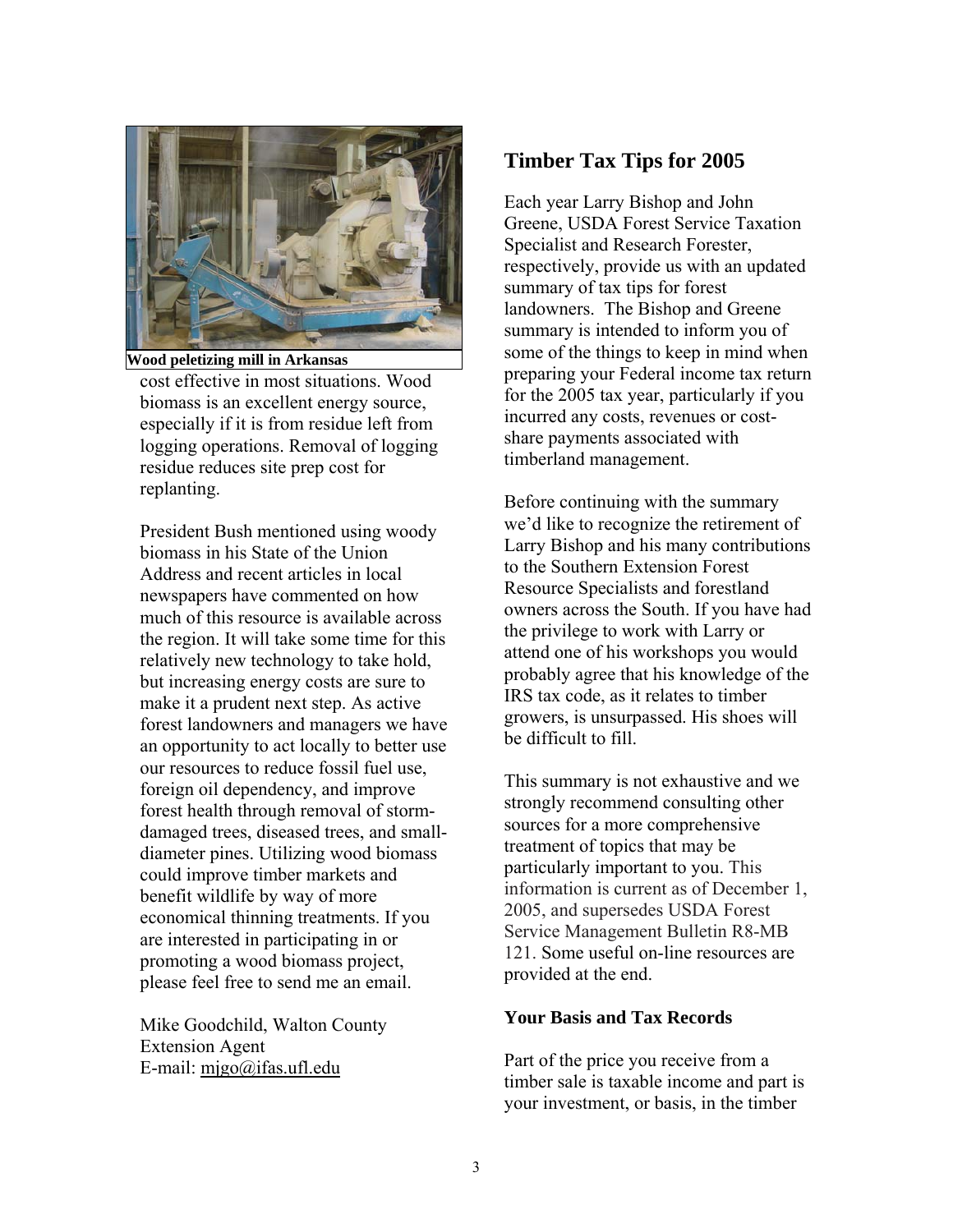

cost effective in most situations. Wood biomass is an excellent energy source, especially if it is from residue left from logging operations. Removal of logging residue reduces site prep cost for replanting. **Wood peletizing mill in Arkansas** 

President Bush mentioned using woody biomass in his State of the Union Address and recent articles in local newspapers have commented on how much of this resource is available across the region. It will take some time for this relatively new technology to take hold, but increasing energy costs are sure to make it a prudent next step. As active forest landowners and managers we have an opportunity to act locally to better use our resources to reduce fossil fuel use, foreign oil dependency, and improve forest health through removal of stormdamaged trees, diseased trees, and smalldiameter pines. Utilizing wood biomass could improve timber markets and benefit wildlife by way of more economical thinning treatments. If you are interested in participating in or promoting a wood biomass project, please feel free to send me an email.

Mike Goodchild, Walton County Extension Agent E-mail:  $migo@ifas.ufl.edu$ 

# **Timber Tax Tips for 2005**

Each year Larry Bishop and John Greene, USDA Forest Service Taxation Specialist and Research Forester, respectively, provide us with an updated summary of tax tips for forest landowners. The Bishop and Greene summary is intended to inform you of some of the things to keep in mind when preparing your Federal income tax return for the 2005 tax year, particularly if you incurred any costs, revenues or costshare payments associated with timberland management.

Before continuing with the summary we'd like to recognize the retirement of Larry Bishop and his many contributions to the Southern Extension Forest Resource Specialists and forestland owners across the South. If you have had the privilege to work with Larry or attend one of his workshops you would probably agree that his knowledge of the IRS tax code, as it relates to timber growers, is unsurpassed. His shoes will be difficult to fill.

This summary is not exhaustive and we strongly recommend consulting other sources for a more comprehensive treatment of topics that may be particularly important to you. This information is current as of December 1, 2005, and supersedes USDA Forest Service Management Bulletin R8-MB 121. Some useful on-line resources are provided at the end.

#### **Your Basis and Tax Records**

Part of the price you receive from a timber sale is taxable income and part is your investment, or basis, in the timber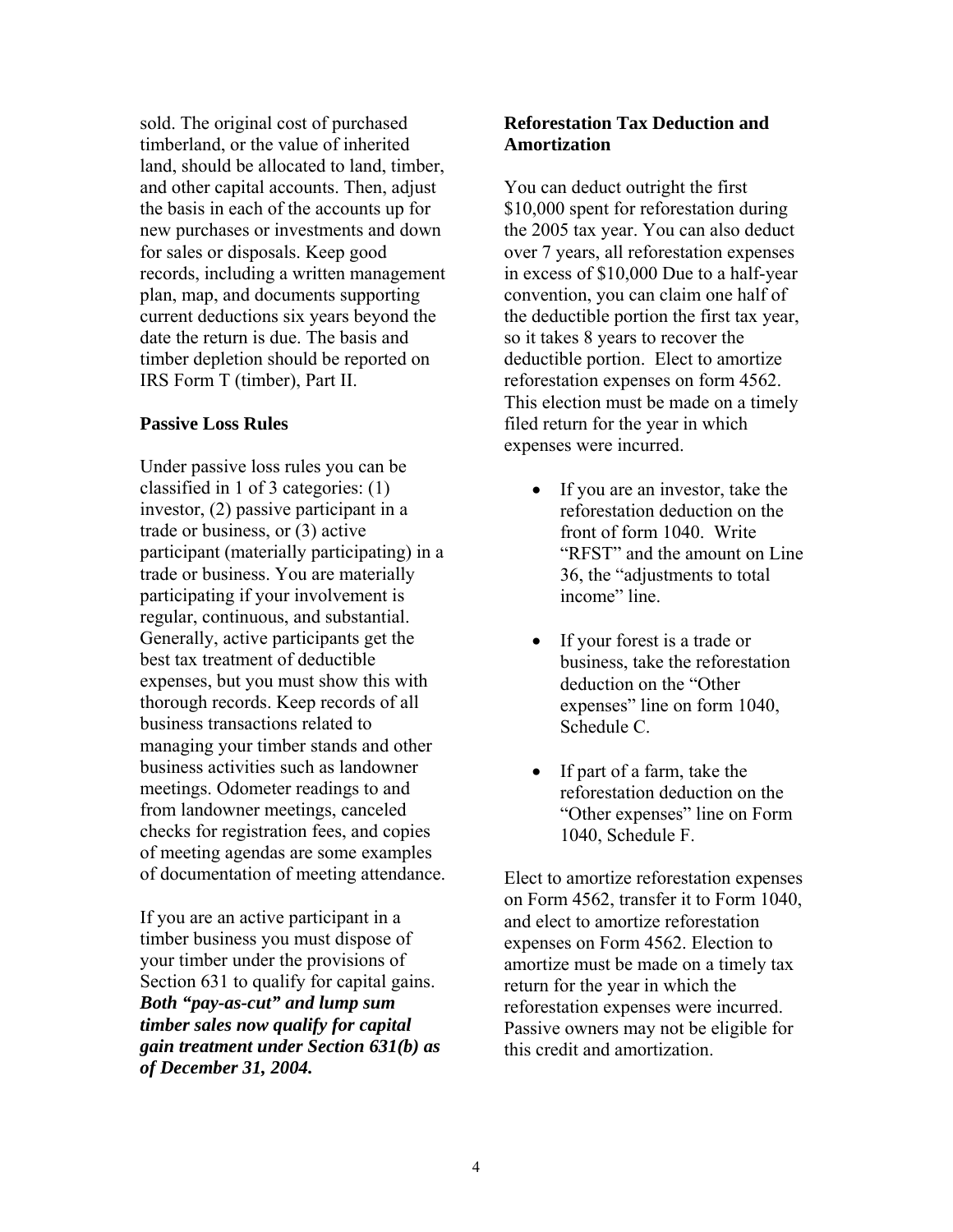sold. The original cost of purchased timberland, or the value of inherited land, should be allocated to land, timber, and other capital accounts. Then, adjust the basis in each of the accounts up for new purchases or investments and down for sales or disposals. Keep good records, including a written management plan, map, and documents supporting current deductions six years beyond the date the return is due. The basis and timber depletion should be reported on IRS Form T (timber), Part II.

#### **Passive Loss Rules**

Under passive loss rules you can be classified in 1 of 3 categories: (1) investor, (2) passive participant in a trade or business, or (3) active participant (materially participating) in a trade or business. You are materially participating if your involvement is regular, continuous, and substantial. Generally, active participants get the best tax treatment of deductible expenses, but you must show this with thorough records. Keep records of all business transactions related to managing your timber stands and other business activities such as landowner meetings. Odometer readings to and from landowner meetings, canceled checks for registration fees, and copies of meeting agendas are some examples of documentation of meeting attendance.

If you are an active participant in a timber business you must dispose of your timber under the provisions of Section 631 to qualify for capital gains. *Both "pay-as-cut" and lump sum timber sales now qualify for capital gain treatment under Section 631(b) as of December 31, 2004.* 

#### **Reforestation Tax Deduction and Amortization**

You can deduct outright the first \$10,000 spent for reforestation during the 2005 tax year. You can also deduct over 7 years, all reforestation expenses in excess of \$10,000 Due to a half-year convention, you can claim one half of the deductible portion the first tax year, so it takes 8 years to recover the deductible portion. Elect to amortize reforestation expenses on form 4562. This election must be made on a timely filed return for the year in which expenses were incurred.

- If you are an investor, take the reforestation deduction on the front of form 1040. Write "RFST" and the amount on Line 36, the "adjustments to total income" line.
- If your forest is a trade or business, take the reforestation deduction on the "Other expenses" line on form 1040, Schedule C.
- If part of a farm, take the reforestation deduction on the "Other expenses" line on Form 1040, Schedule F.

Elect to amortize reforestation expenses on Form 4562, transfer it to Form 1040, and elect to amortize reforestation expenses on Form 4562. Election to amortize must be made on a timely tax return for the year in which the reforestation expenses were incurred. Passive owners may not be eligible for this credit and amortization.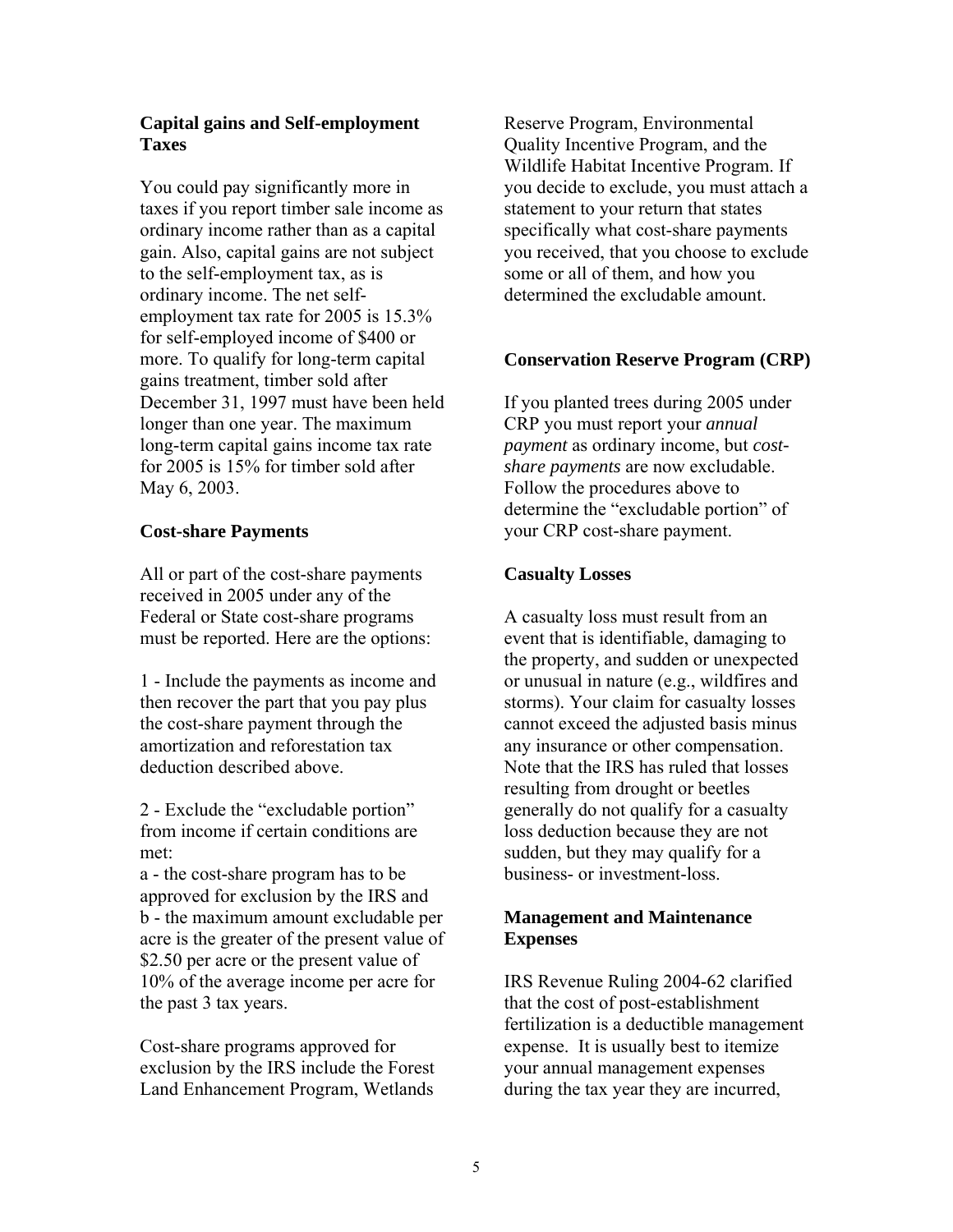## **Capital gains and Self-employment Taxes**

You could pay significantly more in taxes if you report timber sale income as ordinary income rather than as a capital gain. Also, capital gains are not subject to the self-employment tax, as is ordinary income. The net selfemployment tax rate for 2005 is 15.3% for self-employed income of \$400 or more. To qualify for long-term capital gains treatment, timber sold after December 31, 1997 must have been held longer than one year. The maximum long-term capital gains income tax rate for 2005 is 15% for timber sold after May 6, 2003.

## **Cost-share Payments**

All or part of the cost-share payments received in 2005 under any of the Federal or State cost-share programs must be reported. Here are the options:

1 - Include the payments as income and then recover the part that you pay plus the cost-share payment through the amortization and reforestation tax deduction described above.

2 - Exclude the "excludable portion" from income if certain conditions are met:

a - the cost-share program has to be approved for exclusion by the IRS and b - the maximum amount excludable per acre is the greater of the present value of \$2.50 per acre or the present value of 10% of the average income per acre for the past 3 tax years.

Cost-share programs approved for exclusion by the IRS include the Forest Land Enhancement Program, Wetlands

Reserve Program, Environmental Quality Incentive Program, and the Wildlife Habitat Incentive Program. If you decide to exclude, you must attach a statement to your return that states specifically what cost-share payments you received, that you choose to exclude some or all of them, and how you determined the excludable amount.

## **Conservation Reserve Program (CRP)**

If you planted trees during 2005 under CRP you must report your *annual payment* as ordinary income, but *costshare payments* are now excludable. Follow the procedures above to determine the "excludable portion" of your CRP cost-share payment.

## **Casualty Losses**

A casualty loss must result from an event that is identifiable, damaging to the property, and sudden or unexpected or unusual in nature (e.g., wildfires and storms). Your claim for casualty losses cannot exceed the adjusted basis minus any insurance or other compensation. Note that the IRS has ruled that losses resulting from drought or beetles generally do not qualify for a casualty loss deduction because they are not sudden, but they may qualify for a business- or investment-loss.

## **Management and Maintenance Expenses**

IRS Revenue Ruling 2004-62 clarified that the cost of post-establishment fertilization is a deductible management expense. It is usually best to itemize your annual management expenses during the tax year they are incurred,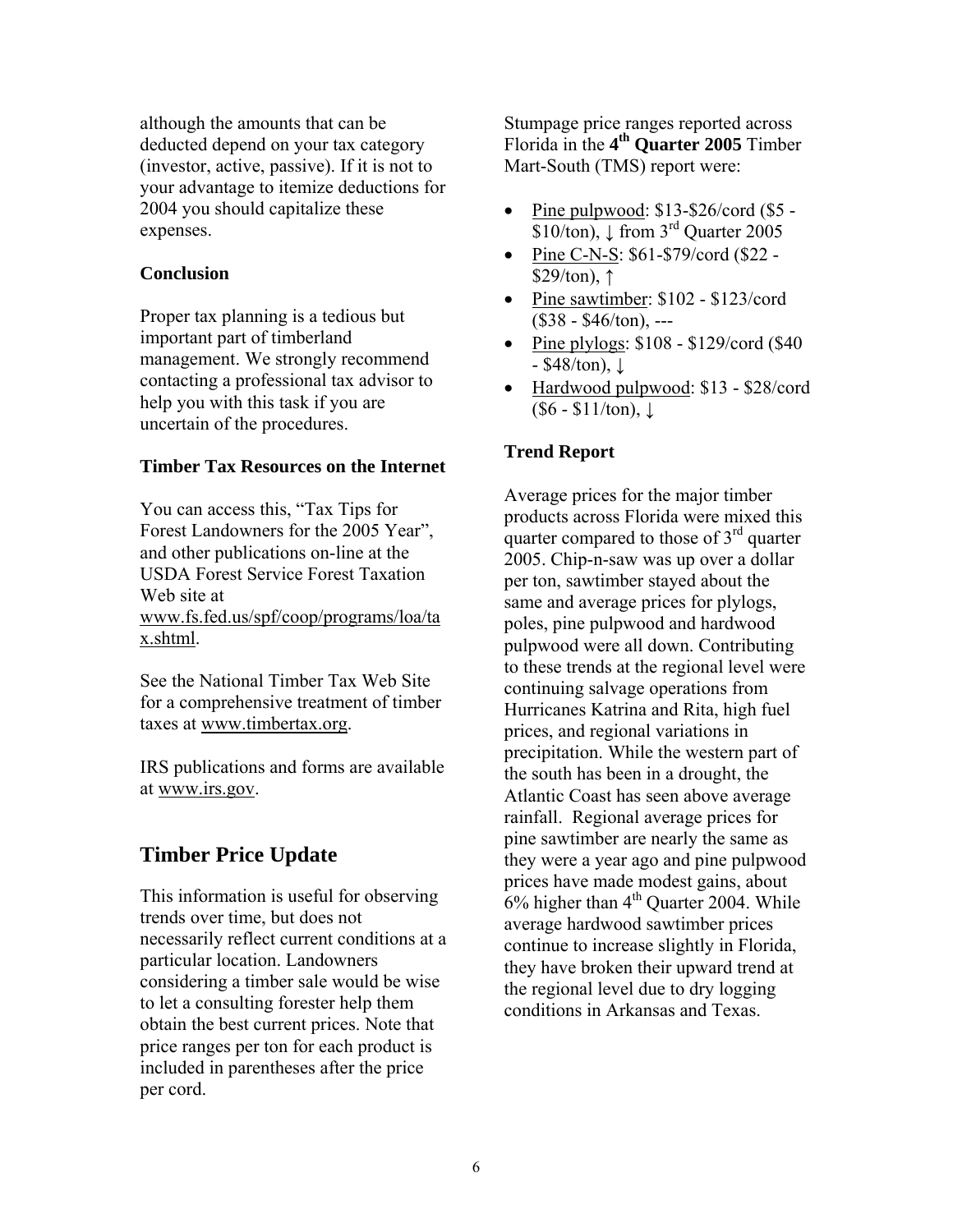although the amounts that can be deducted depend on your tax category (investor, active, passive). If it is not to your advantage to itemize deductions for 2004 you should capitalize these expenses.

#### **Conclusion**

Proper tax planning is a tedious but important part of timberland management. We strongly recommend contacting a professional tax advisor to help you with this task if you are uncertain of the procedures.

#### **Timber Tax Resources on the Internet**

You can access this, "Tax Tips for Forest Landowners for the 2005 Year", and other publications on-line at the USDA Forest Service Forest Taxation Web site at www.fs.fed.us/spf/coop/programs/loa/ta x.shtml.

See the National Timber Tax Web Site for a comprehensive treatment of timber taxes at www.timbertax.org.

IRS publications and forms are available at www.irs.gov.

# **Timber Price Update**

This information is useful for observing trends over time, but does not necessarily reflect current conditions at a particular location. Landowners considering a timber sale would be wise to let a consulting forester help them obtain the best current prices. Note that price ranges per ton for each product is included in parentheses after the price per cord.

Stumpage price ranges reported across Florida in the **4th Quarter 2005** Timber Mart-South (TMS) report were:

- Pine pulpwood: \$13-\$26/cord (\$5 - $\overline{$10/ton]}$ ,  $\downarrow$  from 3<sup>rd</sup> Quarter 2005
- Pine C-N-S: \$61-\$79/cord (\$22 - $$29/ton$ , ↑
- Pine sawtimber: \$102 \$123/cord  $($38 - $46/ton)$ , ---
- Pine plylogs:  $$108 $129/\text{cord}$  (\$40  $-$  \$48/ton),  $\downarrow$
- Hardwood pulpwood: \$13 \$28/cord  $($6 - $11/ton), \downarrow$

#### **Trend Report**

Average prices for the major timber products across Florida were mixed this quarter compared to those of  $3<sup>rd</sup>$  quarter 2005. Chip-n-saw was up over a dollar per ton, sawtimber stayed about the same and average prices for plylogs, poles, pine pulpwood and hardwood pulpwood were all down. Contributing to these trends at the regional level were continuing salvage operations from Hurricanes Katrina and Rita, high fuel prices, and regional variations in precipitation. While the western part of the south has been in a drought, the Atlantic Coast has seen above average rainfall. Regional average prices for pine sawtimber are nearly the same as they were a year ago and pine pulpwood prices have made modest gains, about  $6\%$  higher than  $4<sup>th</sup>$  Quarter 2004. While average hardwood sawtimber prices continue to increase slightly in Florida, they have broken their upward trend at the regional level due to dry logging conditions in Arkansas and Texas.